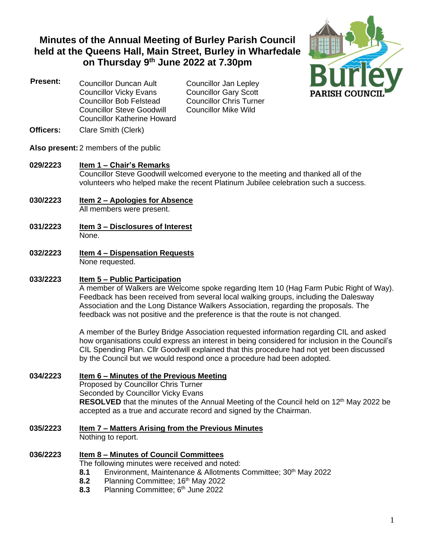# **Minutes of the Annual Meeting of Burley Parish Council held at the Queens Hall, Main Street, Burley in Wharfedale on Thursday 9 th June 2022 at 7.30pm**



 **Present:** Councillor Duncan Ault Councillor Jan Lepley Councillor Vicky Evans Councillor Gary Scott Councillor Bob Felstead Councillor Chris Turner Councillor Steve Goodwill Councillor Mike Wild Councillor Katherine Howard

- **Officers:** Clare Smith (Clerk)
- **Also present:** 2 members of the public

### **029/2223 Item 1 – Chair's Remarks**

Councillor Steve Goodwill welcomed everyone to the meeting and thanked all of the volunteers who helped make the recent Platinum Jubilee celebration such a success.

- **030/2223 Item 2 – Apologies for Absence** All members were present.
- **031/2223 Item 3 – Disclosures of Interest** None.
- **032/2223 Item 4 – Dispensation Requests** None requested.

### **033/2223 Item 5 – Public Participation**

A member of Walkers are Welcome spoke regarding Item 10 (Hag Farm Pubic Right of Way). Feedback has been received from several local walking groups, including the Dalesway Association and the Long Distance Walkers Association, regarding the proposals. The feedback was not positive and the preference is that the route is not changed.

A member of the Burley Bridge Association requested information regarding CIL and asked how organisations could express an interest in being considered for inclusion in the Council's CIL Spending Plan. Cllr Goodwill explained that this procedure had not yet been discussed by the Council but we would respond once a procedure had been adopted.

### **034/2223 Item 6 – Minutes of the Previous Meeting**

Proposed by Councillor Chris Turner Seconded by Councillor Vicky Evans **RESOLVED** that the minutes of the Annual Meeting of the Council held on 12<sup>th</sup> May 2022 be accepted as a true and accurate record and signed by the Chairman.

### **035/2223 Item 7 – Matters Arising from the Previous Minutes**

Nothing to report.

### **036/2223 Item 8 – Minutes of Council Committees**

The following minutes were received and noted:

- **8.1** Environment, Maintenance & Allotments Committee; 30<sup>th</sup> May 2022
- **8.2** Planning Committee; 16<sup>th</sup> May 2022
- **8.3** Planning Committee; 6 th June 2022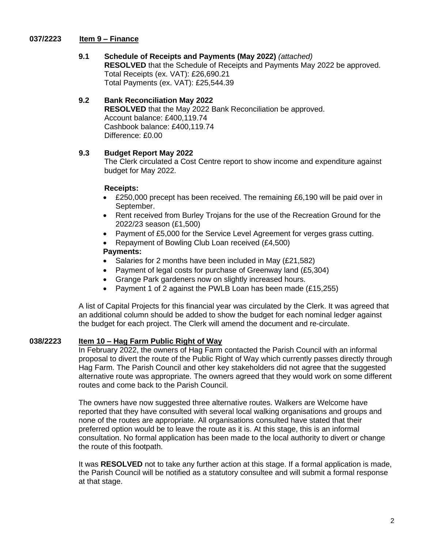### **037/2223 Item 9 – Finance**

# **9.1 Schedule of Receipts and Payments (May 2022)** *(attached)*

**RESOLVED** that the Schedule of Receipts and Payments May 2022 be approved. Total Receipts (ex. VAT): £26,690.21 Total Payments (ex. VAT): £25,544.39

### **9.2 Bank Reconciliation May 2022**

**RESOLVED** that the May 2022 Bank Reconciliation be approved. Account balance: £400,119.74 Cashbook balance: £400,119.74 Difference: £0.00

# **9.3 Budget Report May 2022**

The Clerk circulated a Cost Centre report to show income and expenditure against budget for May 2022.

### **Receipts:**

- £250,000 precept has been received. The remaining £6,190 will be paid over in September.
- Rent received from Burley Trojans for the use of the Recreation Ground for the 2022/23 season (£1,500)
- Payment of £5,000 for the Service Level Agreement for verges grass cutting.
- Repayment of Bowling Club Loan received (£4,500)

### **Payments:**

- Salaries for 2 months have been included in May (£21,582)
- Payment of legal costs for purchase of Greenway land (£5,304)
- Grange Park gardeners now on slightly increased hours.
- Payment 1 of 2 against the PWLB Loan has been made (£15,255)

A list of Capital Projects for this financial year was circulated by the Clerk. It was agreed that an additional column should be added to show the budget for each nominal ledger against the budget for each project. The Clerk will amend the document and re-circulate.

### **038/2223 Item 10 – Hag Farm Public Right of Way**

In February 2022, the owners of Hag Farm contacted the Parish Council with an informal proposal to divert the route of the Public Right of Way which currently passes directly through Hag Farm. The Parish Council and other key stakeholders did not agree that the suggested alternative route was appropriate. The owners agreed that they would work on some different routes and come back to the Parish Council.

The owners have now suggested three alternative routes. Walkers are Welcome have reported that they have consulted with several local walking organisations and groups and none of the routes are appropriate. All organisations consulted have stated that their preferred option would be to leave the route as it is. At this stage, this is an informal consultation. No formal application has been made to the local authority to divert or change the route of this footpath.

It was **RESOLVED** not to take any further action at this stage. If a formal application is made, the Parish Council will be notified as a statutory consultee and will submit a formal response at that stage.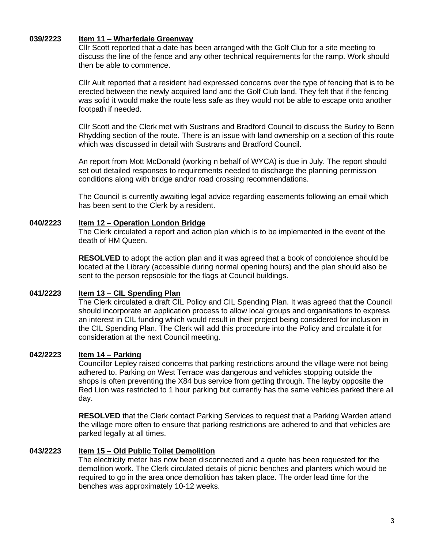#### **039/2223 Item 11 – Wharfedale Greenway**

Cllr Scott reported that a date has been arranged with the Golf Club for a site meeting to discuss the line of the fence and any other technical requirements for the ramp. Work should then be able to commence.

Cllr Ault reported that a resident had expressed concerns over the type of fencing that is to be erected between the newly acquired land and the Golf Club land. They felt that if the fencing was solid it would make the route less safe as they would not be able to escape onto another footpath if needed.

Cllr Scott and the Clerk met with Sustrans and Bradford Council to discuss the Burley to Benn Rhydding section of the route. There is an issue with land ownership on a section of this route which was discussed in detail with Sustrans and Bradford Council.

An report from Mott McDonald (working n behalf of WYCA) is due in July. The report should set out detailed responses to requirements needed to discharge the planning permission conditions along with bridge and/or road crossing recommendations.

The Council is currently awaiting legal advice regarding easements following an email which has been sent to the Clerk by a resident.

### **040/2223 Item 12 – Operation London Bridge**

The Clerk circulated a report and action plan which is to be implemented in the event of the death of HM Queen.

**RESOLVED** to adopt the action plan and it was agreed that a book of condolence should be located at the Library (accessible during normal opening hours) and the plan should also be sent to the person repsosible for the flags at Council buildings.

### **041/2223 Item 13 – CIL Spending Plan**

The Clerk circulated a draft CIL Policy and CIL Spending Plan. It was agreed that the Council should incorporate an application process to allow local groups and organisations to express an interest in CIL funding which would result in their project being considered for inclusion in the CIL Spending Plan. The Clerk will add this procedure into the Policy and circulate it for consideration at the next Council meeting.

### **042/2223 Item 14 – Parking**

Councillor Lepley raised concerns that parking restrictions around the village were not being adhered to. Parking on West Terrace was dangerous and vehicles stopping outside the shops is often preventing the X84 bus service from getting through. The layby opposite the Red Lion was restricted to 1 hour parking but currently has the same vehicles parked there all day.

**RESOLVED** that the Clerk contact Parking Services to request that a Parking Warden attend the village more often to ensure that parking restrictions are adhered to and that vehicles are parked legally at all times.

#### **043/2223 Item 15 – Old Public Toilet Demolition**

The electricity meter has now been disconnected and a quote has been requested for the demolition work. The Clerk circulated details of picnic benches and planters which would be required to go in the area once demolition has taken place. The order lead time for the benches was approximately 10-12 weeks.